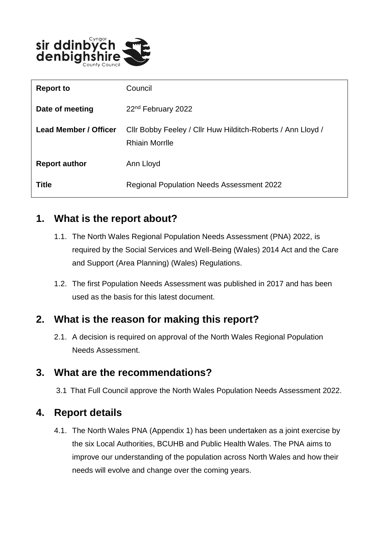

| <b>Report to</b>      | Council                                                                               |
|-----------------------|---------------------------------------------------------------------------------------|
| Date of meeting       | 22 <sup>nd</sup> February 2022                                                        |
| Lead Member / Officer | Cllr Bobby Feeley / Cllr Huw Hilditch-Roberts / Ann Lloyd /<br><b>Rhiain Morrille</b> |
| <b>Report author</b>  | Ann Lloyd                                                                             |
| Title                 | Regional Population Needs Assessment 2022                                             |

# **1. What is the report about?**

- 1.1. The North Wales Regional Population Needs Assessment (PNA) 2022, is required by the Social Services and Well-Being (Wales) 2014 Act and the Care and Support (Area Planning) (Wales) Regulations.
- 1.2. The first Population Needs Assessment was published in 2017 and has been used as the basis for this latest document.

## **2. What is the reason for making this report?**

2.1. A decision is required on approval of the North Wales Regional Population Needs Assessment.

## **3. What are the recommendations?**

3.1 That Full Council approve the North Wales Population Needs Assessment 2022.

# **4. Report details**

4.1. The North Wales PNA (Appendix 1) has been undertaken as a joint exercise by the six Local Authorities, BCUHB and Public Health Wales. The PNA aims to improve our understanding of the population across North Wales and how their needs will evolve and change over the coming years.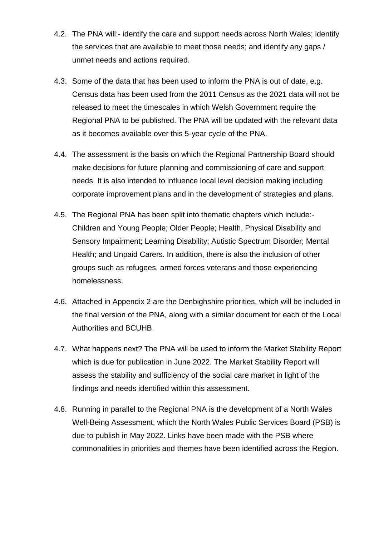- 4.2. The PNA will:- identify the care and support needs across North Wales; identify the services that are available to meet those needs; and identify any gaps / unmet needs and actions required.
- 4.3. Some of the data that has been used to inform the PNA is out of date, e.g. Census data has been used from the 2011 Census as the 2021 data will not be released to meet the timescales in which Welsh Government require the Regional PNA to be published. The PNA will be updated with the relevant data as it becomes available over this 5-year cycle of the PNA.
- 4.4. The assessment is the basis on which the Regional Partnership Board should make decisions for future planning and commissioning of care and support needs. It is also intended to influence local level decision making including corporate improvement plans and in the development of strategies and plans.
- 4.5. The Regional PNA has been split into thematic chapters which include:- Children and Young People; Older People; Health, Physical Disability and Sensory Impairment; Learning Disability; Autistic Spectrum Disorder; Mental Health; and Unpaid Carers. In addition, there is also the inclusion of other groups such as refugees, armed forces veterans and those experiencing homelessness.
- 4.6. Attached in Appendix 2 are the Denbighshire priorities, which will be included in the final version of the PNA, along with a similar document for each of the Local Authorities and BCUHB.
- 4.7. What happens next? The PNA will be used to inform the Market Stability Report which is due for publication in June 2022. The Market Stability Report will assess the stability and sufficiency of the social care market in light of the findings and needs identified within this assessment.
- 4.8. Running in parallel to the Regional PNA is the development of a North Wales Well-Being Assessment, which the North Wales Public Services Board (PSB) is due to publish in May 2022. Links have been made with the PSB where commonalities in priorities and themes have been identified across the Region.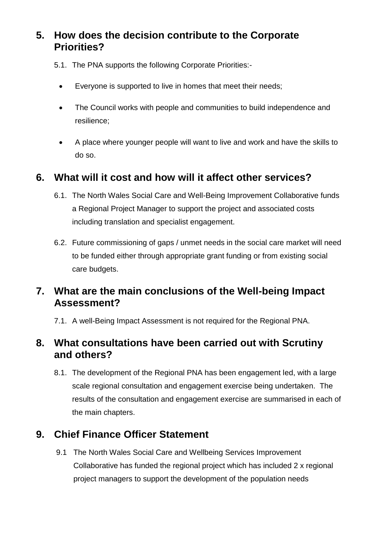# **5. How does the decision contribute to the Corporate Priorities?**

- 5.1. The PNA supports the following Corporate Priorities:-
	- Everyone is supported to live in homes that meet their needs;
	- The Council works with people and communities to build independence and resilience;
	- A place where younger people will want to live and work and have the skills to do so.

#### **6. What will it cost and how will it affect other services?**

- 6.1. The North Wales Social Care and Well-Being Improvement Collaborative funds a Regional Project Manager to support the project and associated costs including translation and specialist engagement.
- 6.2. Future commissioning of gaps / unmet needs in the social care market will need to be funded either through appropriate grant funding or from existing social care budgets.

# **7. What are the main conclusions of the Well-being Impact Assessment?**

7.1. A well-Being Impact Assessment is not required for the Regional PNA.

# **8. What consultations have been carried out with Scrutiny and others?**

8.1. The development of the Regional PNA has been engagement led, with a large scale regional consultation and engagement exercise being undertaken. The results of the consultation and engagement exercise are summarised in each of the main chapters.

# **9. Chief Finance Officer Statement**

9.1 The North Wales Social Care and Wellbeing Services Improvement Collaborative has funded the regional project which has included 2 x regional project managers to support the development of the population needs